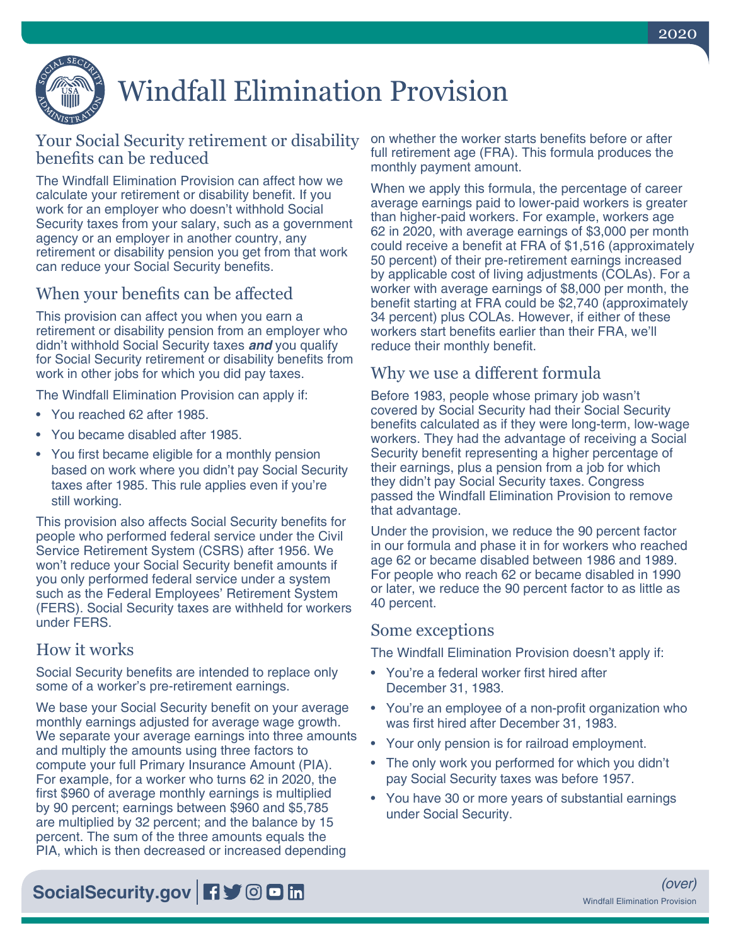

# Windfall Elimination Provision

### Your Social Security retirement or disability benefits can be reduced

The Windfall Elimination Provision can affect how we calculate your retirement or disability benefit. If you work for an employer who doesn't withhold Social Security taxes from your salary, such as a government agency or an employer in another country, any retirement or disability pension you get from that work can reduce your Social Security benefits.

# When your benefits can be affected

This provision can affect you when you earn a retirement or disability pension from an employer who didn't withhold Social Security taxes *and* you qualify for Social Security retirement or disability benefits from work in other jobs for which you did pay taxes.

The Windfall Elimination Provision can apply if:

- You reached 62 after 1985.
- You became disabled after 1985.
- You first became eligible for a monthly pension based on work where you didn't pay Social Security taxes after 1985. This rule applies even if you're still working.

This provision also affects Social Security benefits for people who performed federal service under the Civil Service Retirement System (CSRS) after 1956. We won't reduce your Social Security benefit amounts if you only performed federal service under a system such as the Federal Employees' Retirement System (FERS). Social Security taxes are withheld for workers under FERS.

#### How it works

Social Security benefits are intended to replace only some of a worker's pre-retirement earnings.

We base your Social Security benefit on your average monthly earnings adjusted for average wage growth. We separate your average earnings into three amounts and multiply the amounts using three factors to compute your full Primary Insurance Amount (PIA). For example, for a worker who turns 62 in 2020, the first \$960 of average monthly earnings is multiplied by 90 percent; earnings between \$960 and \$5,785 are multiplied by 32 percent; and the balance by 15 percent. The sum of the three amounts equals the PIA, which is then decreased or increased depending

on whether the worker starts benefits before or after full retirement age (FRA). This formula produces the monthly payment amount.

When we apply this formula, the percentage of career average earnings paid to lower-paid workers is greater than higher-paid workers. For example, workers age 62 in 2020, with average earnings of \$3,000 per month could receive a benefit at FRA of \$1,516 (approximately 50 percent) of their pre-retirement earnings increased by applicable cost of living adjustments (COLAs). For a worker with average earnings of \$8,000 per month, the benefit starting at FRA could be \$2,740 (approximately 34 percent) plus COLAs. However, if either of these workers start benefits earlier than their FRA, we'll reduce their monthly benefit.

#### Why we use a different formula

Before 1983, people whose primary job wasn't covered by Social Security had their Social Security benefits calculated as if they were long-term, low-wage workers. They had the advantage of receiving a Social Security benefit representing a higher percentage of their earnings, plus a pension from a job for which they didn't pay Social Security taxes. Congress passed the Windfall Elimination Provision to remove that advantage.

Under the provision, we reduce the 90 percent factor in our formula and phase it in for workers who reached age 62 or became disabled between 1986 and 1989. For people who reach 62 or became disabled in 1990 or later, we reduce the 90 percent factor to as little as 40 percent.

#### Some exceptions

The Windfall Elimination Provision doesn't apply if:

- You're a federal worker first hired after December 31, 1983.
- You're an employee of a non-profit organization who was first hired after December 31, 1983.
- Your only pension is for railroad employment.
- The only work you performed for which you didn't pay Social Security taxes was before 1957.
- You have 30 or more years of substantial earnings under Social Security.